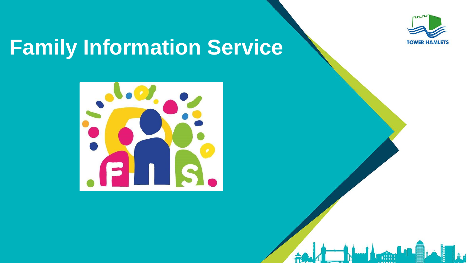

# **Family Information Service**



氚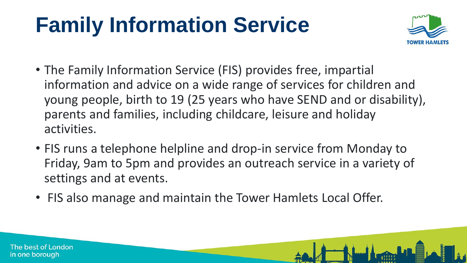# **Family Information Service**



- The Family Information Service (FIS) provides free, impartial information and advice on a wide range of services for children and young people, birth to 19 (25 years who have SEND and or disability), parents and families, including childcare, leisure and holiday activities.
- FIS runs a telephone helpline and drop-in service from Monday to Friday, 9am to 5pm and provides an outreach service in a variety of settings and at events.
- FIS also manage and maintain the Tower Hamlets Local Offer.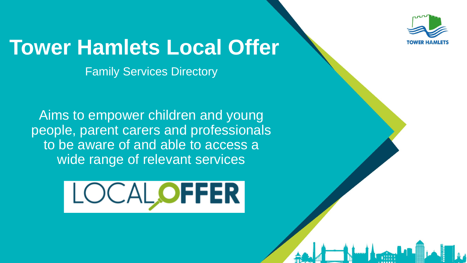

# **Tower Hamlets Local Offer**

Family Services Directory

Aims to empower children and young people, parent carers and professionals to be aware of and able to access a wide range of relevant services

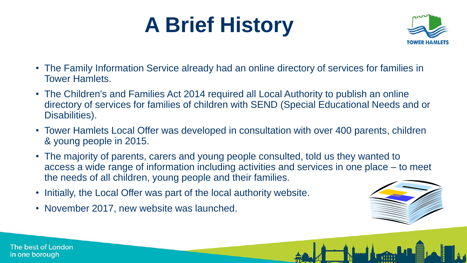# **A Brief History**



- The Family Information Service already had an online directory of services for families in Tower Hamlets.
- The Children's and Families Act 2014 required all Local Authority to publish an online directory of services for families of children with SEND (Special Educational Needs and or Disabilities).
- Tower Hamlets Local Offer was developed in consultation with over 400 parents, children & young people in 2015.
- The majority of parents, carers and young people consulted, told us they wanted to access a wide range of information including activities and services in one place – to meet the needs of all children, young people and their families.
- Initially, the Local Offer was part of the local authority website.
- November 2017, new website was launched.

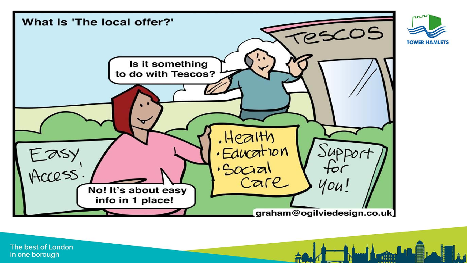

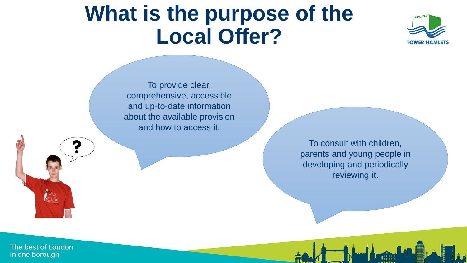### **What is the purpose of the Local Offer?**



To provide clear, comprehensive, accessible and up-to-date information about the available provision and how to access it.

> To consult with children, parents and young people in developing and periodically reviewing it.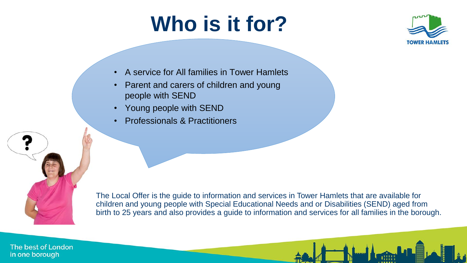# **Who is it for?**



- A service for All families in Tower Hamlets
- Parent and carers of children and young people with SEND
- Young people with SEND
- Professionals & Practitioners



The Local Offer is the guide to information and services in Tower Hamlets that are available for children and young people with Special Educational Needs and or Disabilities (SEND) aged from birth to 25 years and also provides a guide to information and services for all families in the borough.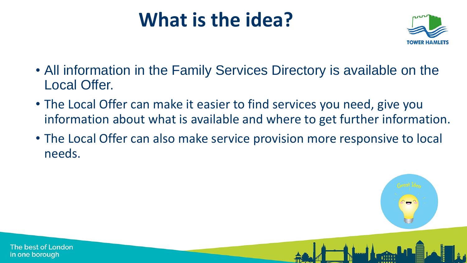### **What is the idea?**



- All information in the Family Services Directory is available on the Local Offer.
- The Local Offer can make it easier to find services you need, give you information about what is available and where to get further information.
- The Local Offer can also make service provision more responsive to local needs.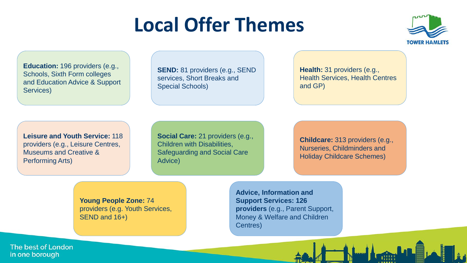### **Local Offer Themes**



**Education:** 196 providers (e.g., Schools, Sixth Form colleges and Education Advice & Support Services)

**SEND:** 81 providers (e.g., SEND services, Short Breaks and Special Schools)

**Health:** 31 providers (e.g., Health Services, Health Centres and GP)

**Leisure and Youth Service:** 118 providers (e.g., Leisure Centres, Museums and Creative & Performing Arts)

**Social Care:** 21 providers (e.g., Children with Disabilities, Safeguarding and Social Care Advice)

**Childcare:** 313 providers (e.g., Nurseries, Childminders and Holiday Childcare Schemes)

**Young People Zone:** 74 providers (e.g. Youth Services, SEND and 16+)

**Advice, Information and Support Services: 126 providers** (e.g., Parent Support, Money & Welfare and Children Centres)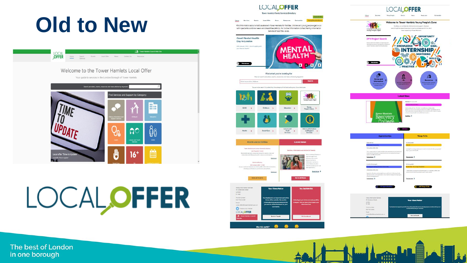# **Old to New**



# LOCALOFFER



Harte Services: **Cyanta** Local Offer News Resources Contact U Find information about what is available in Tower Hamlets for families, children and young people aged o-25

with Special Educational Needs and Disabilities (SEND). For further information contact Family Information Service on 020 7364 6495.











**LOCALOFFER** Heme Welcome to Tower Hamlets Young People's Zone Find Isse and confidential information and support. Discove venthing from apprenticeships to events and keep up with the lates news have presented Trease Hambul v. **F** OPPORTUNITY **DFN Project Search E KNOWLEDGE INTERNSHIP MENTORING SKILLS** Э 19.37 **FOR PRACTICE**  $\frac{\Omega}{\epsilon}$ **Lotest News** Eqwer Hamlets<br>Recovery  $baseTime$ 



**M** All Things Tt Do



HHH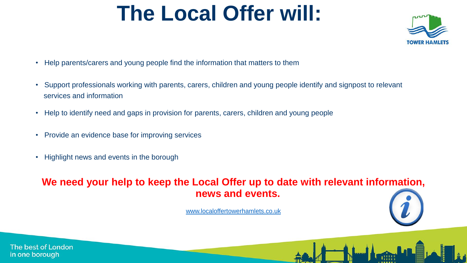# **The Local Offer will:**



- Help parents/carers and young people find the information that matters to them
- Support professionals working with parents, carers, children and young people identify and signpost to relevant services and information
- Help to identify need and gaps in provision for parents, carers, children and young people
- Provide an evidence base for improving services
- Highlight news and events in the borough

#### **We need your help to keep the Local Offer up to date with relevant information, news and events.**

[www.localoffertowerhamlets.co.uk](http://www.localoffertowerhamlets.co.uk/)